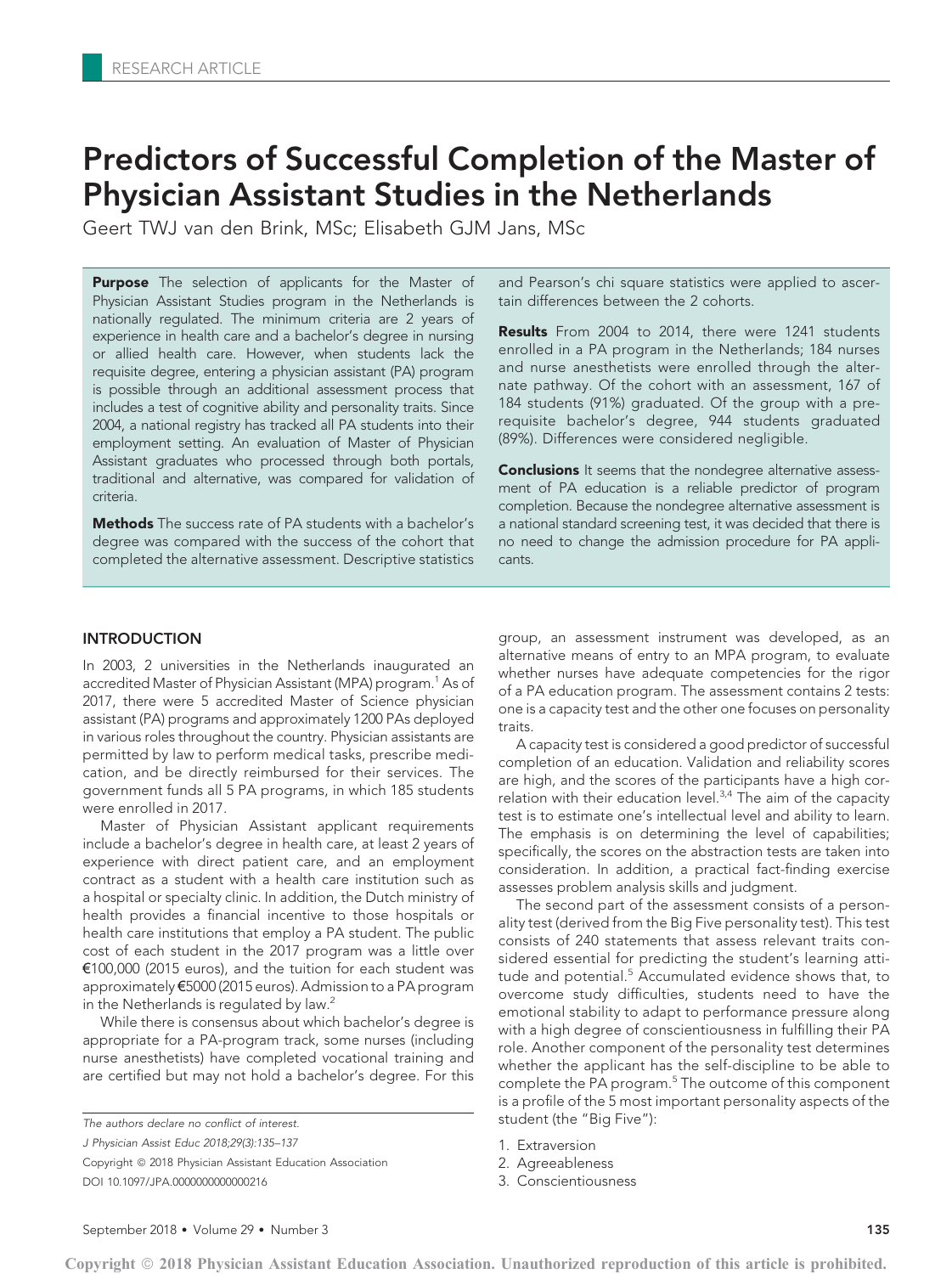# Predictors of Successful Completion of the Master of Physician Assistant Studies in the Netherlands

Geert TWJ van den Brink, MSc; Elisabeth GJM Jans, MSc

**Purpose** The selection of applicants for the Master of Physician Assistant Studies program in the Netherlands is nationally regulated. The minimum criteria are 2 years of experience in health care and a bachelor's degree in nursing or allied health care. However, when students lack the requisite degree, entering a physician assistant (PA) program is possible through an additional assessment process that includes a test of cognitive ability and personality traits. Since 2004, a national registry has tracked all PA students into their employment setting. An evaluation of Master of Physician Assistant graduates who processed through both portals, traditional and alternative, was compared for validation of criteria.

Methods The success rate of PA students with a bachelor's degree was compared with the success of the cohort that completed the alternative assessment. Descriptive statistics and Pearson's chi square statistics were applied to ascertain differences between the 2 cohorts.

Results From 2004 to 2014, there were 1241 students enrolled in a PA program in the Netherlands; 184 nurses and nurse anesthetists were enrolled through the alternate pathway. Of the cohort with an assessment, 167 of 184 students (91%) graduated. Of the group with a prerequisite bachelor's degree, 944 students graduated (89%). Differences were considered negligible.

**Conclusions** It seems that the nondegree alternative assessment of PA education is a reliable predictor of program completion. Because the nondegree alternative assessment is a national standard screening test, it was decided that there is no need to change the admission procedure for PA applicants.

# INTRODUCTION

In 2003, 2 universities in the Netherlands inaugurated an accredited Master of Physician Assistant (MPA) program.<sup>1</sup> As of 2017, there were 5 accredited Master of Science physician assistant (PA) programs and approximately 1200 PAs deployed in various roles throughout the country. Physician assistants are permitted by law to perform medical tasks, prescribe medication, and be directly reimbursed for their services. The government funds all 5 PA programs, in which 185 students were enrolled in 2017.

Master of Physician Assistant applicant requirements include a bachelor's degree in health care, at least 2 years of experience with direct patient care, and an employment contract as a student with a health care institution such as a hospital or specialty clinic. In addition, the Dutch ministry of health provides a financial incentive to those hospitals or health care institutions that employ a PA student. The public cost of each student in the 2017 program was a little over €100,000 (2015 euros), and the tuition for each student was approximately €5000 (2015 euros). Admission to a PA program in the Netherlands is regulated by law.<sup>2</sup>

While there is consensus about which bachelor's degree is appropriate for a PA-program track, some nurses (including nurse anesthetists) have completed vocational training and are certified but may not hold a bachelor's degree. For this

The authors declare no conflict of interest.

J Physician Assist Educ 2018;29(3):135–137

Copyright © 2018 Physician Assistant Education Association DOI 10.1097/JPA.0000000000000216

group, an assessment instrument was developed, as an alternative means of entry to an MPA program, to evaluate whether nurses have adequate competencies for the rigor of a PA education program. The assessment contains 2 tests: one is a capacity test and the other one focuses on personality traits.

A capacity test is considered a good predictor of successful completion of an education. Validation and reliability scores are high, and the scores of the participants have a high correlation with their education level. $3,4$  The aim of the capacity test is to estimate one's intellectual level and ability to learn. The emphasis is on determining the level of capabilities; specifically, the scores on the abstraction tests are taken into consideration. In addition, a practical fact-finding exercise assesses problem analysis skills and judgment.

The second part of the assessment consists of a personality test (derived from the Big Five personality test). This test consists of 240 statements that assess relevant traits considered essential for predicting the student's learning attitude and potential.<sup>5</sup> Accumulated evidence shows that, to overcome study difficulties, students need to have the emotional stability to adapt to performance pressure along with a high degree of conscientiousness in fulfilling their PA role. Another component of the personality test determines whether the applicant has the self-discipline to be able to complete the PA program.<sup>5</sup> The outcome of this component is a profile of the 5 most important personality aspects of the student (the "Big Five"):

- 1. Extraversion
- 2. Agreeableness
- 3. Conscientiousness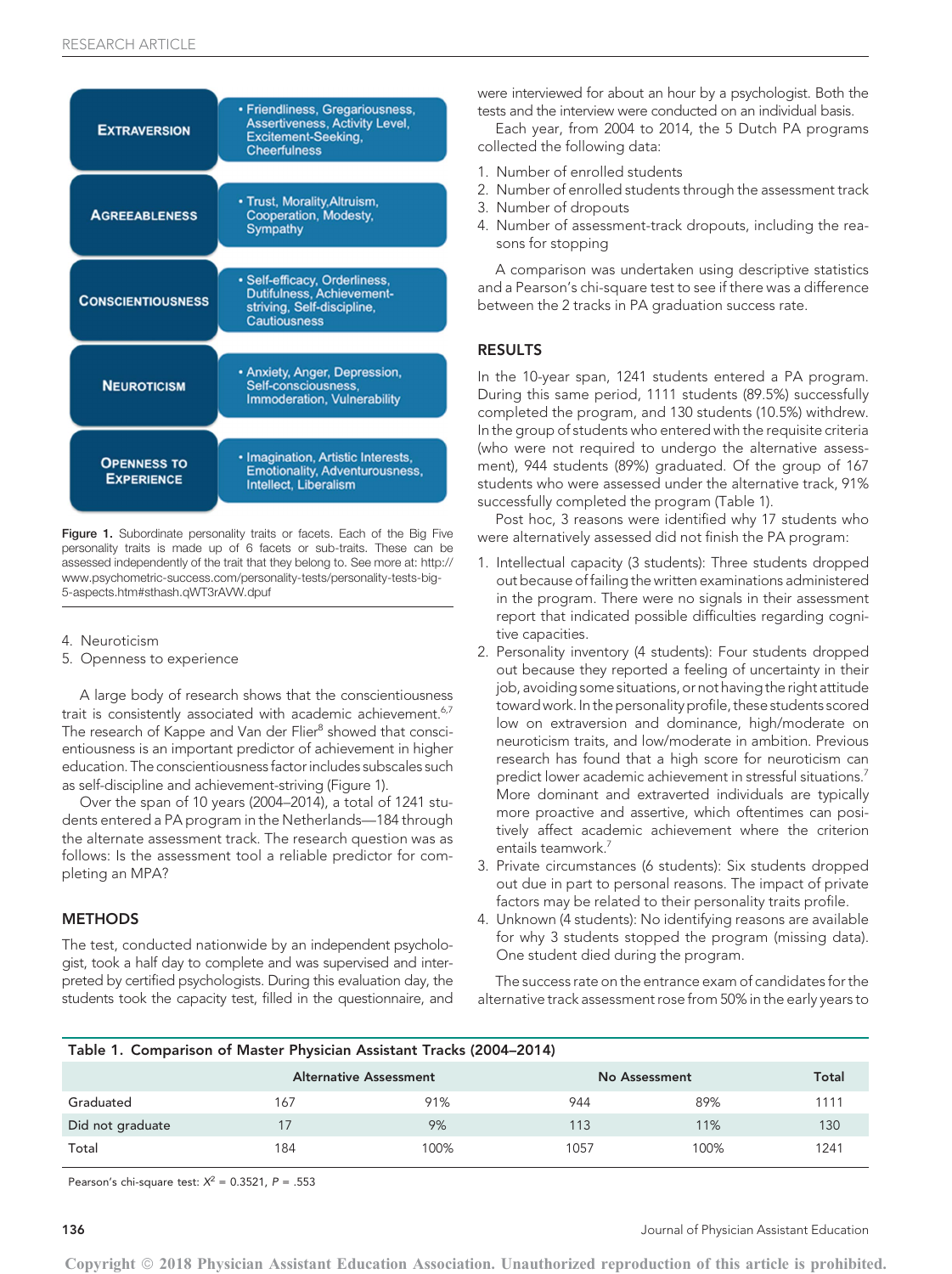| <b>EXTRAVERSION</b>                     | • Friendliness, Gregariousness,<br><b>Assertiveness, Activity Level,</b><br><b>Excitement-Seeking,</b><br><b>Cheerfulness</b> |  |  |  |
|-----------------------------------------|-------------------------------------------------------------------------------------------------------------------------------|--|--|--|
| <b>AGREEABLENESS</b>                    | • Trust, Morality, Altruism,<br>Cooperation, Modesty,<br>Sympathy                                                             |  |  |  |
| <b>CONSCIENTIOUSNESS</b>                | · Self-efficacy, Orderliness,<br><b>Dutifulness, Achievement-</b><br>striving, Self-discipline,<br><b>Cautiousness</b>        |  |  |  |
| <b>NEUROTICISM</b>                      | • Anxiety, Anger, Depression,<br>Self-consciousness,<br><b>Immoderation, Vulnerability</b>                                    |  |  |  |
| <b>OPENNESS TO</b><br><b>EXPERIENCE</b> | · Imagination, Artistic Interests,<br><b>Emotionality, Adventurousness,</b><br><b>Intellect, Liberalism</b>                   |  |  |  |

Figure 1. Subordinate personality traits or facets. Each of the Big Five personality traits is made up of 6 facets or sub-traits. These can be assessed independently of the trait that they belong to. See more at: http:// www.psychometric-success.com/personality-tests/personality-tests-big-5-aspects.htm#sthash.qWT3rAVW.dpuf

- 4. Neuroticism
- 5. Openness to experience

A large body of research shows that the conscientiousness trait is consistently associated with academic achievement.<sup>6,7</sup> The research of Kappe and Van der Flier<sup>8</sup> showed that conscientiousness is an important predictor of achievement in higher education. The conscientiousnessfactor includes subscales such as self-discipline and achievement-striving (Figure 1).

Over the span of 10 years (2004–2014), a total of 1241 students entered a PA program in the Netherlands—184 through the alternate assessment track. The research question was as follows: Is the assessment tool a reliable predictor for completing an MPA?

# **METHODS**

The test, conducted nationwide by an independent psychologist, took a half day to complete and was supervised and interpreted by certified psychologists. During this evaluation day, the students took the capacity test, filled in the questionnaire, and were interviewed for about an hour by a psychologist. Both the tests and the interview were conducted on an individual basis.

Each year, from 2004 to 2014, the 5 Dutch PA programs collected the following data:

- 1. Number of enrolled students
- 2. Number of enrolled students through the assessment track
- 3. Number of dropouts
- 4. Number of assessment-track dropouts, including the reasons for stopping

A comparison was undertaken using descriptive statistics and a Pearson's chi-square test to see if there was a difference between the 2 tracks in PA graduation success rate.

## RESULTS

In the 10-year span, 1241 students entered a PA program. During this same period, 1111 students (89.5%) successfully completed the program, and 130 students (10.5%) withdrew. In the group of students who entered with the requisite criteria (who were not required to undergo the alternative assessment), 944 students (89%) graduated. Of the group of 167 students who were assessed under the alternative track, 91% successfully completed the program (Table 1).

Post hoc, 3 reasons were identified why 17 students who were alternatively assessed did not finish the PA program:

- 1. Intellectual capacity (3 students): Three students dropped out because of failing the written examinations administered in the program. There were no signals in their assessment report that indicated possible difficulties regarding cognitive capacities.
- 2. Personality inventory (4 students): Four students dropped out because they reported a feeling of uncertainty in their job, avoiding some situations, or not having the right attitude toward work. In the personality profile, these students scored low on extraversion and dominance, high/moderate on neuroticism traits, and low/moderate in ambition. Previous research has found that a high score for neuroticism can predict lower academic achievement in stressful situations.<sup>7</sup> More dominant and extraverted individuals are typically more proactive and assertive, which oftentimes can positively affect academic achievement where the criterion entails teamwork<sup>7</sup>
- 3. Private circumstances (6 students): Six students dropped out due in part to personal reasons. The impact of private factors may be related to their personality traits profile.
- 4. Unknown (4 students): No identifying reasons are available for why 3 students stopped the program (missing data). One student died during the program.

The success rate on the entrance exam of candidates for the alternative track assessment rose from 50% in the early years to

| Table 1. Comparison of Master Physician Assistant Tracks (2004-2014) |  |  |  |  |  |  |  |  |  |
|----------------------------------------------------------------------|--|--|--|--|--|--|--|--|--|
|----------------------------------------------------------------------|--|--|--|--|--|--|--|--|--|

|                  |     | <b>Alternative Assessment</b> | No Assessment |      | Total |
|------------------|-----|-------------------------------|---------------|------|-------|
| Graduated        | 167 | 91%                           | 944           | 89%  | 1111  |
| Did not graduate |     | 9%                            | 113           | 11%  | 130   |
| Total            | 184 | 100%                          | 1057          | 100% | 1241  |

Pearson's chi-square test:  $X^2 = 0.3521$ ,  $P = .553$ 

136 Journal of Physician Assistant Education

Copyright © 2018 Physician Assistant Education Association. Unauthorized reproduction of this article is prohibited.